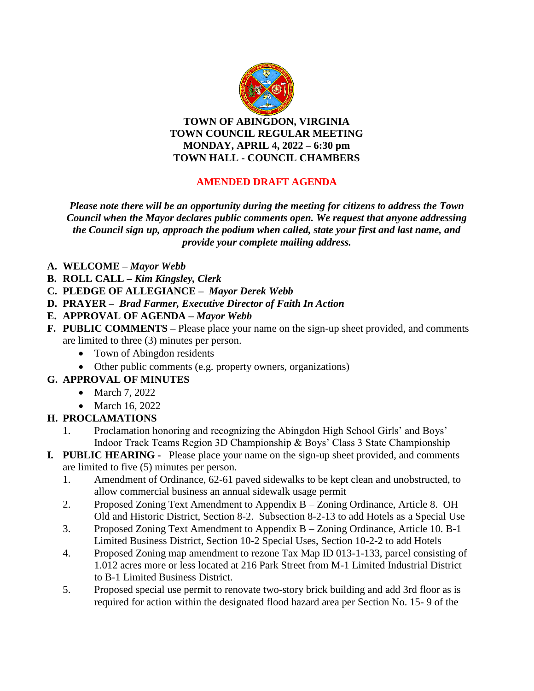

**TOWN OF ABINGDON, VIRGINIA TOWN COUNCIL REGULAR MEETING MONDAY, APRIL 4, 2022 – 6:30 pm TOWN HALL - COUNCIL CHAMBERS**

#### **AMENDED DRAFT AGENDA**

*Please note there will be an opportunity during the meeting for citizens to address the Town Council when the Mayor declares public comments open. We request that anyone addressing the Council sign up, approach the podium when called, state your first and last name, and provide your complete mailing address.*

- **A. WELCOME –** *Mayor Webb*
- **B. ROLL CALL –** *Kim Kingsley, Clerk*
- **C. PLEDGE OF ALLEGIANCE –** *Mayor Derek Webb*
- **D. PRAYER** *Brad Farmer, Executive Director of Faith In Action*
- **E. APPROVAL OF AGENDA –** *Mayor Webb*
- **F. PUBLIC COMMENTS –** Please place your name on the sign-up sheet provided, and comments are limited to three (3) minutes per person.
	- Town of Abingdon residents
	- Other public comments (e.g. property owners, organizations)
- **G. APPROVAL OF MINUTES**
	- March 7, 2022
	- March 16, 2022

#### **H. PROCLAMATIONS**

- 1. Proclamation honoring and recognizing the Abingdon High School Girls' and Boys' Indoor Track Teams Region 3D Championship & Boys' Class 3 State Championship
- **I***.* **PUBLIC HEARING** Please place your name on the sign-up sheet provided, and comments are limited to five (5) minutes per person.
	- 1. Amendment of Ordinance, 62-61 paved sidewalks to be kept clean and unobstructed, to allow commercial business an annual sidewalk usage permit
	- 2. Proposed Zoning Text Amendment to Appendix B Zoning Ordinance, Article 8. OH Old and Historic District, Section 8-2. Subsection 8-2-13 to add Hotels as a Special Use
	- 3. Proposed Zoning Text Amendment to Appendix B Zoning Ordinance, Article 10. B-1 Limited Business District, Section 10-2 Special Uses, Section 10-2-2 to add Hotels
	- 4. Proposed Zoning map amendment to rezone Tax Map ID 013-1-133, parcel consisting of 1.012 acres more or less located at 216 Park Street from M-1 Limited Industrial District to B-1 Limited Business District.
	- 5. Proposed special use permit to renovate two-story brick building and add 3rd floor as is required for action within the designated flood hazard area per Section No. 15- 9 of the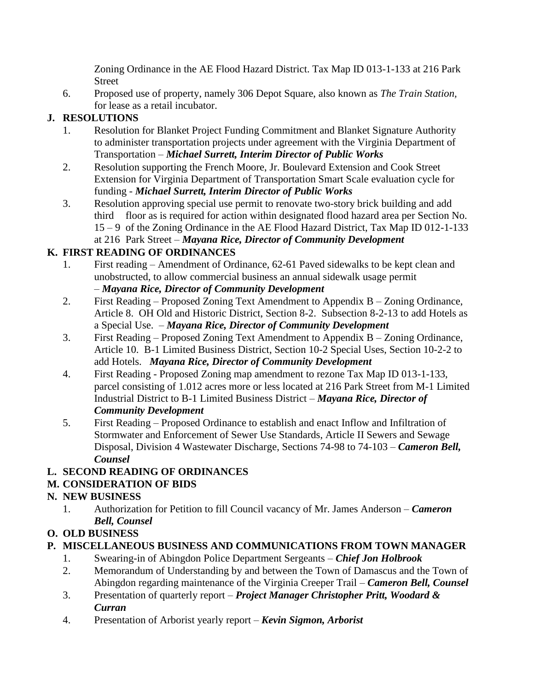Zoning Ordinance in the AE Flood Hazard District. Tax Map ID 013-1-133 at 216 Park Street

6. Proposed use of property, namely 306 Depot Square, also known as *The Train Station,*  for lease as a retail incubator.

## **J. RESOLUTIONS**

- 1. Resolution for Blanket Project Funding Commitment and Blanket Signature Authority to administer transportation projects under agreement with the Virginia Department of Transportation – *Michael Surrett, Interim Director of Public Works*
- 2. Resolution supporting the French Moore, Jr. Boulevard Extension and Cook Street Extension for Virginia Department of Transportation Smart Scale evaluation cycle for funding - *Michael Surrett, Interim Director of Public Works*
- 3. Resolution approving special use permit to renovate two-story brick building and add third floor as is required for action within designated flood hazard area per Section No. 15 – 9 of the Zoning Ordinance in the AE Flood Hazard District, Tax Map ID 012-1-133 at 216 Park Street – *Mayana Rice, Director of Community Development*

# **K. FIRST READING OF ORDINANCES**

- 1. First reading Amendment of Ordinance, 62-61 Paved sidewalks to be kept clean and unobstructed, to allow commercial business an annual sidewalk usage permit – *Mayana Rice, Director of Community Development*
- 2. First Reading Proposed Zoning Text Amendment to Appendix B Zoning Ordinance, Article 8. OH Old and Historic District, Section 8-2. Subsection 8-2-13 to add Hotels as a Special Use. – *Mayana Rice, Director of Community Development*
- 3. First Reading Proposed Zoning Text Amendment to Appendix B Zoning Ordinance, Article 10. B-1 Limited Business District, Section 10-2 Special Uses, Section 10-2-2 to add Hotels. *Mayana Rice, Director of Community Development*
- 4. First Reading Proposed Zoning map amendment to rezone Tax Map ID 013-1-133, parcel consisting of 1.012 acres more or less located at 216 Park Street from M-1 Limited Industrial District to B-1 Limited Business District – *Mayana Rice, Director of Community Development*
- 5. First Reading Proposed Ordinance to establish and enact Inflow and Infiltration of Stormwater and Enforcement of Sewer Use Standards, Article II Sewers and Sewage Disposal, Division 4 Wastewater Discharge, Sections 74-98 to 74-103 – *Cameron Bell, Counsel*

### **L. SECOND READING OF ORDINANCES**

### **M. CONSIDERATION OF BIDS**

### **N. NEW BUSINESS**

1. Authorization for Petition to fill Council vacancy of Mr. James Anderson – *Cameron Bell, Counsel*

### **O. OLD BUSINESS**

### **P. MISCELLANEOUS BUSINESS AND COMMUNICATIONS FROM TOWN MANAGER**

- 1. Swearing-in of Abingdon Police Department Sergeants *Chief Jon Holbrook*
- 2. Memorandum of Understanding by and between the Town of Damascus and the Town of Abingdon regarding maintenance of the Virginia Creeper Trail – *Cameron Bell, Counsel*
- 3. Presentation of quarterly report *Project Manager Christopher Pritt, Woodard & Curran*
- 4. Presentation of Arborist yearly report *Kevin Sigmon, Arborist*